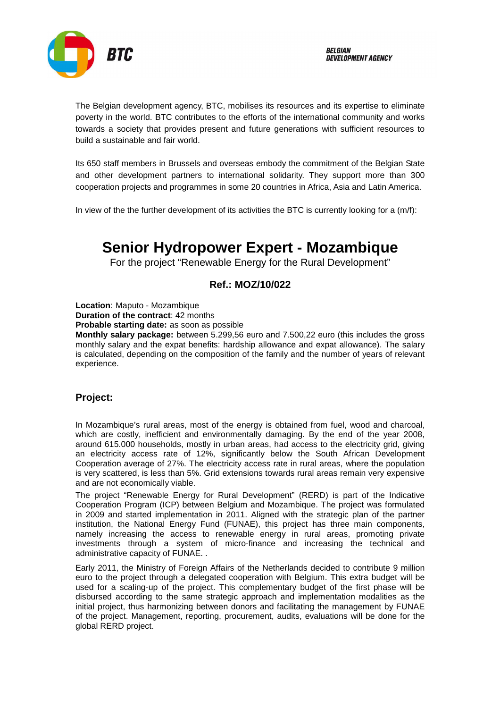

The Belgian development agency, BTC, mobilises its resources and its expertise to eliminate poverty in the world. BTC contributes to the efforts of the international community and works towards a society that provides present and future generations with sufficient resources to build a sustainable and fair world.

Its 650 staff members in Brussels and overseas embody the commitment of the Belgian State and other development partners to international solidarity. They support more than 300 cooperation projects and programmes in some 20 countries in Africa, Asia and Latin America.

In view of the the further development of its activities the BTC is currently looking for a (m/f):

# **Senior Hydropower Expert - Mozambique**

For the project "Renewable Energy for the Rural Development"

## **Ref.: MOZ/10/022**

**Location**: Maputo - Mozambique

**Duration of the contract**: 42 months

**Probable starting date:** as soon as possible

**Monthly salary package:** between 5.299,56 euro and 7.500,22 euro (this includes the gross monthly salary and the expat benefits: hardship allowance and expat allowance). The salary is calculated, depending on the composition of the family and the number of years of relevant experience.

#### **Project:**

In Mozambique's rural areas, most of the energy is obtained from fuel, wood and charcoal, which are costly, inefficient and environmentally damaging. By the end of the year 2008, around 615.000 households, mostly in urban areas, had access to the electricity grid, giving an electricity access rate of 12%, significantly below the South African Development Cooperation average of 27%. The electricity access rate in rural areas, where the population is very scattered, is less than 5%. Grid extensions towards rural areas remain very expensive and are not economically viable.

The project "Renewable Energy for Rural Development" (RERD) is part of the Indicative Cooperation Program (ICP) between Belgium and Mozambique. The project was formulated in 2009 and started implementation in 2011. Aligned with the strategic plan of the partner institution, the National Energy Fund (FUNAE), this project has three main components, namely increasing the access to renewable energy in rural areas, promoting private investments through a system of micro-finance and increasing the technical and administrative capacity of FUNAE. .

Early 2011, the Ministry of Foreign Affairs of the Netherlands decided to contribute 9 million euro to the project through a delegated cooperation with Belgium. This extra budget will be used for a scaling-up of the project. This complementary budget of the first phase will be disbursed according to the same strategic approach and implementation modalities as the initial project, thus harmonizing between donors and facilitating the management by FUNAE of the project. Management, reporting, procurement, audits, evaluations will be done for the global RERD project.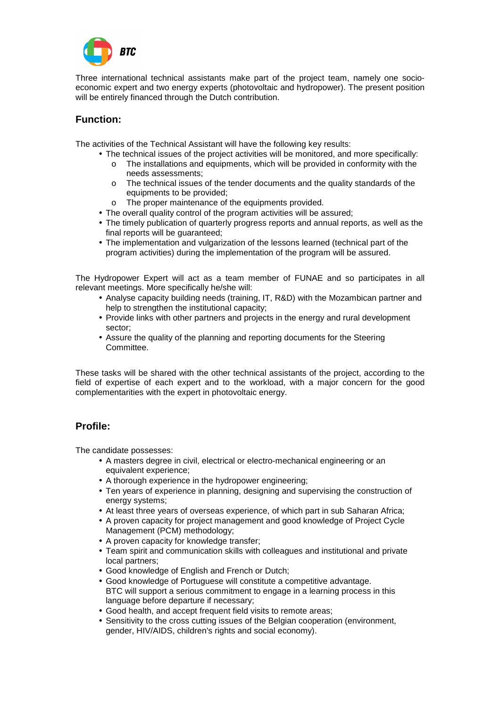

Three international technical assistants make part of the project team, namely one socioeconomic expert and two energy experts (photovoltaic and hydropower). The present position will be entirely financed through the Dutch contribution.

## **Function:**

The activities of the Technical Assistant will have the following key results:

- The technical issues of the project activities will be monitored, and more specifically:
	- o The installations and equipments, which will be provided in conformity with the needs assessments;
	- o The technical issues of the tender documents and the quality standards of the equipments to be provided;
	- o The proper maintenance of the equipments provided.
- The overall quality control of the program activities will be assured;
- The timely publication of quarterly progress reports and annual reports, as well as the final reports will be guaranteed;
- The implementation and vulgarization of the lessons learned (technical part of the program activities) during the implementation of the program will be assured.

The Hydropower Expert will act as a team member of FUNAE and so participates in all relevant meetings. More specifically he/she will:

- Analyse capacity building needs (training, IT, R&D) with the Mozambican partner and help to strengthen the institutional capacity;
- Provide links with other partners and projects in the energy and rural development sector;
- Assure the quality of the planning and reporting documents for the Steering Committee.

These tasks will be shared with the other technical assistants of the project, according to the field of expertise of each expert and to the workload, with a major concern for the good complementarities with the expert in photovoltaic energy.

## **Profile:**

The candidate possesses:

- A masters degree in civil, electrical or electro-mechanical engineering or an equivalent experience;
- A thorough experience in the hydropower engineering;
- Ten years of experience in planning, designing and supervising the construction of energy systems:
- At least three years of overseas experience, of which part in sub Saharan Africa;
- A proven capacity for project management and good knowledge of Project Cycle Management (PCM) methodology;
- A proven capacity for knowledge transfer;
- Team spirit and communication skills with colleagues and institutional and private local partners;
- Good knowledge of English and French or Dutch;
- Good knowledge of Portuguese will constitute a competitive advantage. BTC will support a serious commitment to engage in a learning process in this language before departure if necessary;
- Good health, and accept frequent field visits to remote areas;
- Sensitivity to the cross cutting issues of the Belgian cooperation (environment, gender, HIV/AIDS, children's rights and social economy).